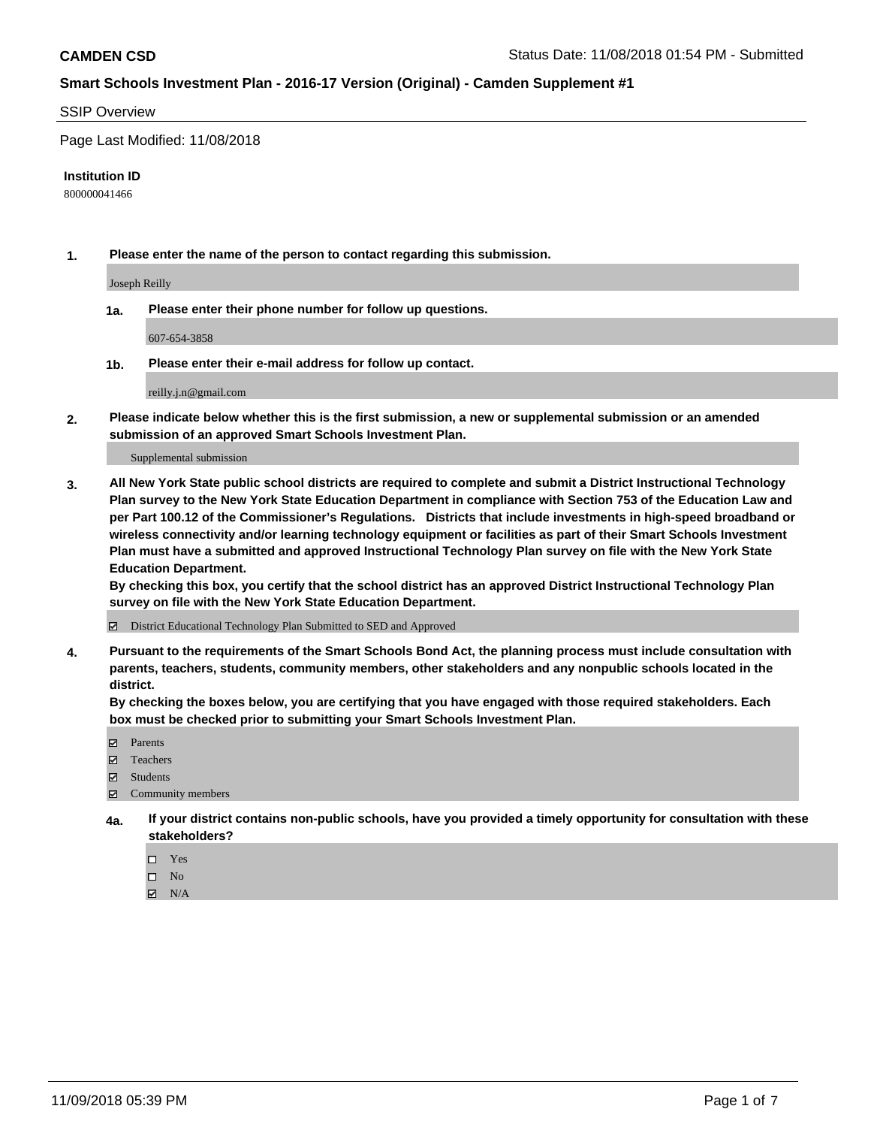## SSIP Overview

Page Last Modified: 11/08/2018

#### **Institution ID**

800000041466

**1. Please enter the name of the person to contact regarding this submission.**

Joseph Reilly

**1a. Please enter their phone number for follow up questions.**

607-654-3858

**1b. Please enter their e-mail address for follow up contact.**

reilly.j.n@gmail.com

**2. Please indicate below whether this is the first submission, a new or supplemental submission or an amended submission of an approved Smart Schools Investment Plan.**

Supplemental submission

**3. All New York State public school districts are required to complete and submit a District Instructional Technology Plan survey to the New York State Education Department in compliance with Section 753 of the Education Law and per Part 100.12 of the Commissioner's Regulations. Districts that include investments in high-speed broadband or wireless connectivity and/or learning technology equipment or facilities as part of their Smart Schools Investment Plan must have a submitted and approved Instructional Technology Plan survey on file with the New York State Education Department.** 

**By checking this box, you certify that the school district has an approved District Instructional Technology Plan survey on file with the New York State Education Department.**

District Educational Technology Plan Submitted to SED and Approved

**4. Pursuant to the requirements of the Smart Schools Bond Act, the planning process must include consultation with parents, teachers, students, community members, other stakeholders and any nonpublic schools located in the district.** 

**By checking the boxes below, you are certifying that you have engaged with those required stakeholders. Each box must be checked prior to submitting your Smart Schools Investment Plan.**

- **□** Parents
- Teachers
- Students
- $\boxtimes$  Community members
- **4a. If your district contains non-public schools, have you provided a timely opportunity for consultation with these stakeholders?**
	- $\Box$  Yes
	- $\qquad \qquad$  No
	- $\blacksquare$  N/A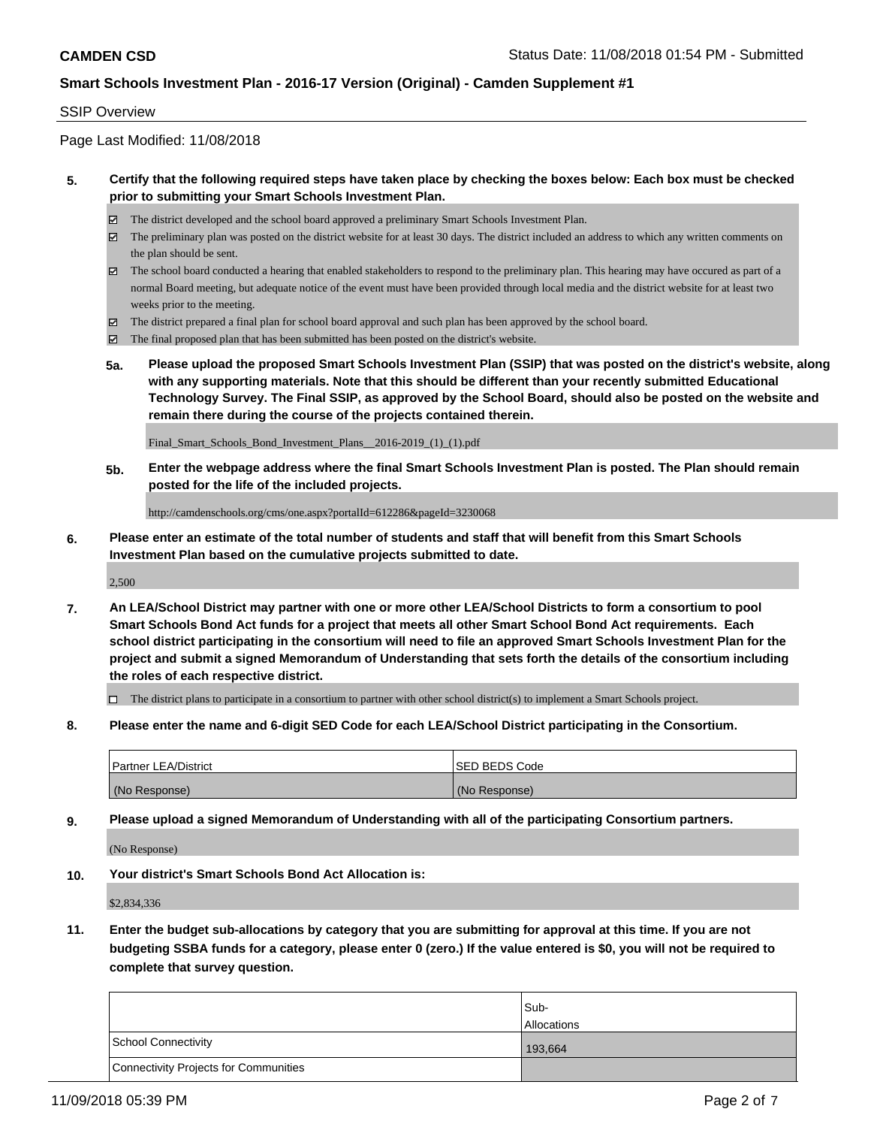## SSIP Overview

Page Last Modified: 11/08/2018

## **5. Certify that the following required steps have taken place by checking the boxes below: Each box must be checked prior to submitting your Smart Schools Investment Plan.**

- The district developed and the school board approved a preliminary Smart Schools Investment Plan.
- $\boxtimes$  The preliminary plan was posted on the district website for at least 30 days. The district included an address to which any written comments on the plan should be sent.
- $\boxtimes$  The school board conducted a hearing that enabled stakeholders to respond to the preliminary plan. This hearing may have occured as part of a normal Board meeting, but adequate notice of the event must have been provided through local media and the district website for at least two weeks prior to the meeting.
- The district prepared a final plan for school board approval and such plan has been approved by the school board.
- $\boxtimes$  The final proposed plan that has been submitted has been posted on the district's website.
- **5a. Please upload the proposed Smart Schools Investment Plan (SSIP) that was posted on the district's website, along with any supporting materials. Note that this should be different than your recently submitted Educational Technology Survey. The Final SSIP, as approved by the School Board, should also be posted on the website and remain there during the course of the projects contained therein.**

Final\_Smart\_Schools\_Bond\_Investment\_Plans\_\_2016-2019\_(1)\_(1).pdf

**5b. Enter the webpage address where the final Smart Schools Investment Plan is posted. The Plan should remain posted for the life of the included projects.**

http://camdenschools.org/cms/one.aspx?portalId=612286&pageId=3230068

**6. Please enter an estimate of the total number of students and staff that will benefit from this Smart Schools Investment Plan based on the cumulative projects submitted to date.**

2,500

**7. An LEA/School District may partner with one or more other LEA/School Districts to form a consortium to pool Smart Schools Bond Act funds for a project that meets all other Smart School Bond Act requirements. Each school district participating in the consortium will need to file an approved Smart Schools Investment Plan for the project and submit a signed Memorandum of Understanding that sets forth the details of the consortium including the roles of each respective district.**

 $\Box$  The district plans to participate in a consortium to partner with other school district(s) to implement a Smart Schools project.

**8. Please enter the name and 6-digit SED Code for each LEA/School District participating in the Consortium.**

| <b>Partner LEA/District</b> | <b>ISED BEDS Code</b> |
|-----------------------------|-----------------------|
| (No Response)               | (No Response)         |

**9. Please upload a signed Memorandum of Understanding with all of the participating Consortium partners.**

(No Response)

**10. Your district's Smart Schools Bond Act Allocation is:**

\$2,834,336

**11. Enter the budget sub-allocations by category that you are submitting for approval at this time. If you are not budgeting SSBA funds for a category, please enter 0 (zero.) If the value entered is \$0, you will not be required to complete that survey question.**

|                                              | Sub-<br><b>Allocations</b> |
|----------------------------------------------|----------------------------|
| <b>School Connectivity</b>                   | 193.664                    |
| <b>Connectivity Projects for Communities</b> |                            |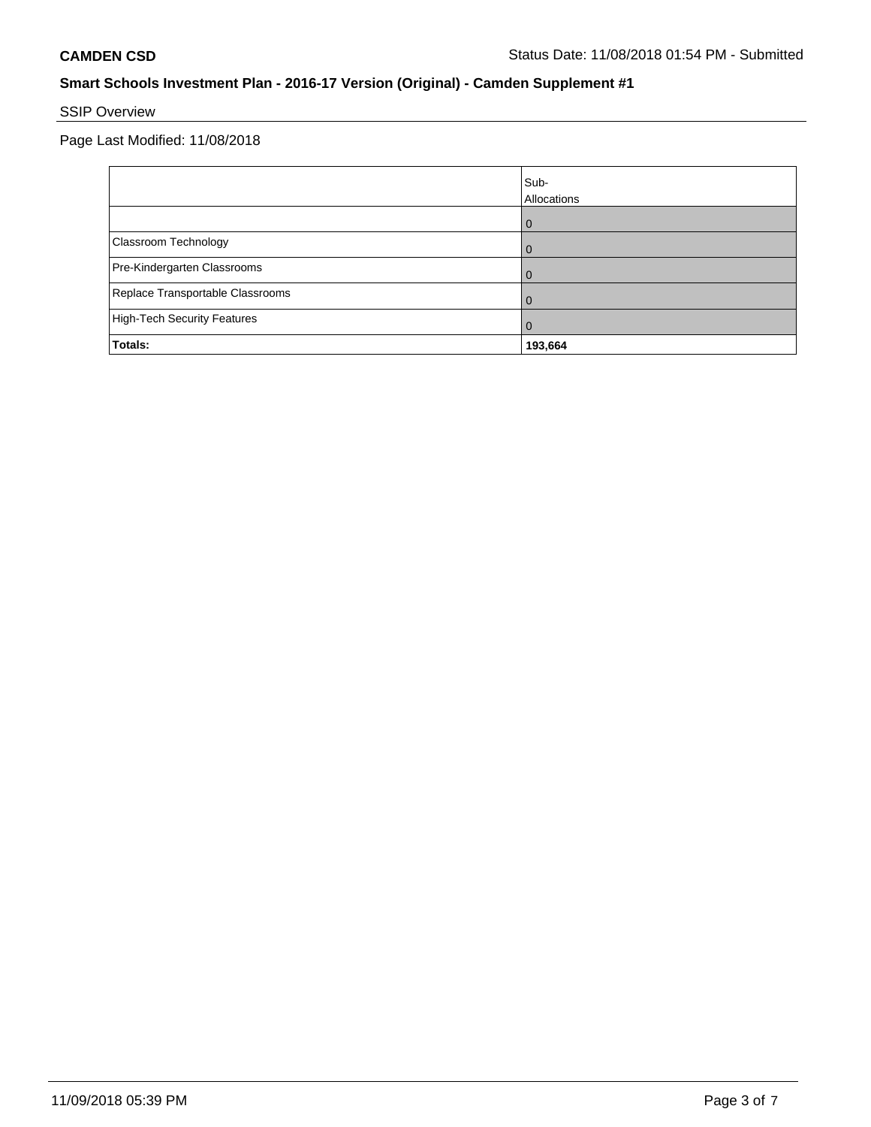# SSIP Overview

Page Last Modified: 11/08/2018

|                                    | Sub-<br>Allocations |
|------------------------------------|---------------------|
|                                    |                     |
| Classroom Technology               |                     |
| Pre-Kindergarten Classrooms        |                     |
| Replace Transportable Classrooms   |                     |
| <b>High-Tech Security Features</b> | U                   |
| Totals:                            | 193,664             |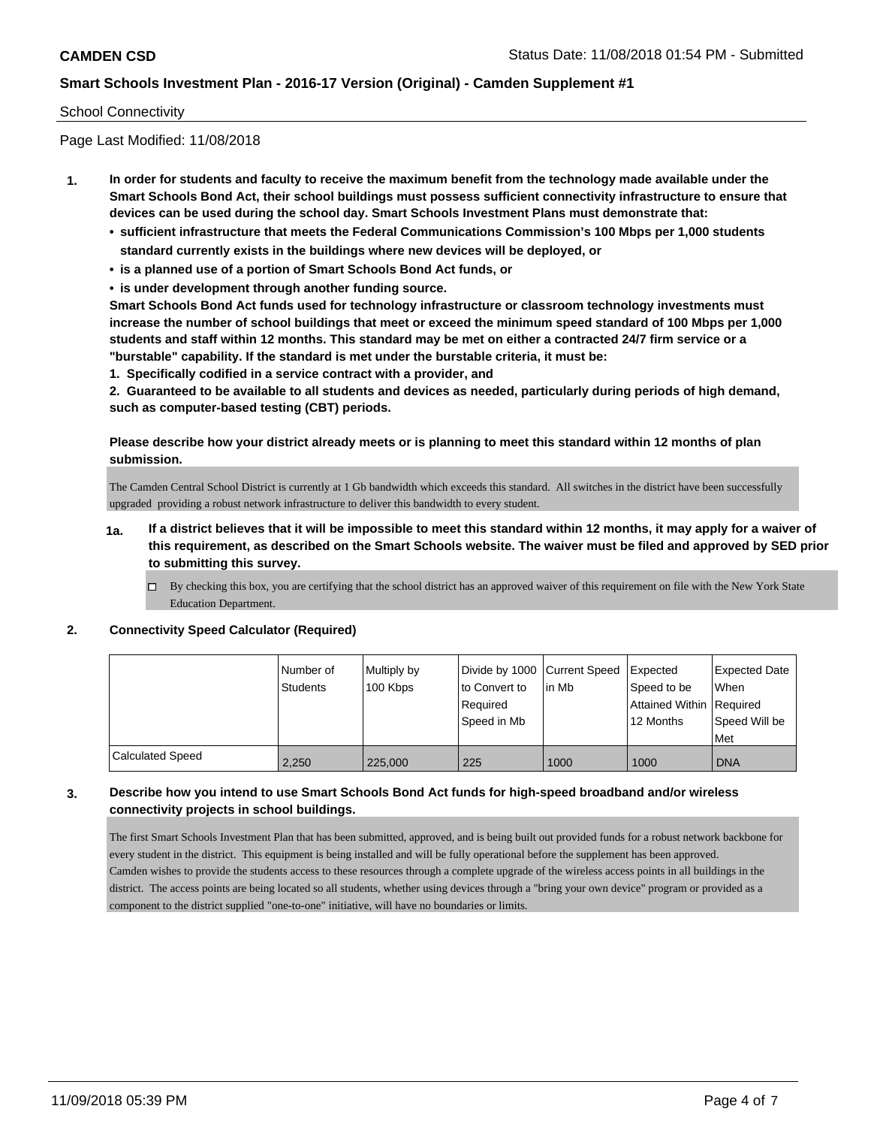## School Connectivity

Page Last Modified: 11/08/2018

- **1. In order for students and faculty to receive the maximum benefit from the technology made available under the Smart Schools Bond Act, their school buildings must possess sufficient connectivity infrastructure to ensure that devices can be used during the school day. Smart Schools Investment Plans must demonstrate that:**
	- **• sufficient infrastructure that meets the Federal Communications Commission's 100 Mbps per 1,000 students standard currently exists in the buildings where new devices will be deployed, or**
	- **• is a planned use of a portion of Smart Schools Bond Act funds, or**
	- **• is under development through another funding source.**

**Smart Schools Bond Act funds used for technology infrastructure or classroom technology investments must increase the number of school buildings that meet or exceed the minimum speed standard of 100 Mbps per 1,000 students and staff within 12 months. This standard may be met on either a contracted 24/7 firm service or a "burstable" capability. If the standard is met under the burstable criteria, it must be:**

**1. Specifically codified in a service contract with a provider, and**

**2. Guaranteed to be available to all students and devices as needed, particularly during periods of high demand, such as computer-based testing (CBT) periods.**

## **Please describe how your district already meets or is planning to meet this standard within 12 months of plan submission.**

The Camden Central School District is currently at 1 Gb bandwidth which exceeds this standard. All switches in the district have been successfully upgraded providing a robust network infrastructure to deliver this bandwidth to every student.

- **1a. If a district believes that it will be impossible to meet this standard within 12 months, it may apply for a waiver of this requirement, as described on the Smart Schools website. The waiver must be filed and approved by SED prior to submitting this survey.**
	- By checking this box, you are certifying that the school district has an approved waiver of this requirement on file with the New York State Education Department.

#### **2. Connectivity Speed Calculator (Required)**

|                         | I Number of     | Multiply by | Divide by 1000 Current Speed |        | Expected                 | <b>Expected Date</b> |
|-------------------------|-----------------|-------------|------------------------------|--------|--------------------------|----------------------|
|                         | <b>Students</b> | 100 Kbps    | to Convert to                | lin Mb | Speed to be              | <b>When</b>          |
|                         |                 |             | Required                     |        | Attained Within Required |                      |
|                         |                 |             | Speed in Mb                  |        | 12 Months                | Speed Will be        |
|                         |                 |             |                              |        |                          | Met                  |
| <b>Calculated Speed</b> | 2.250           | 225,000     | 225                          | 1000   | 1000                     | <b>DNA</b>           |

## **3. Describe how you intend to use Smart Schools Bond Act funds for high-speed broadband and/or wireless connectivity projects in school buildings.**

The first Smart Schools Investment Plan that has been submitted, approved, and is being built out provided funds for a robust network backbone for every student in the district. This equipment is being installed and will be fully operational before the supplement has been approved. Camden wishes to provide the students access to these resources through a complete upgrade of the wireless access points in all buildings in the district. The access points are being located so all students, whether using devices through a "bring your own device" program or provided as a component to the district supplied "one-to-one" initiative, will have no boundaries or limits.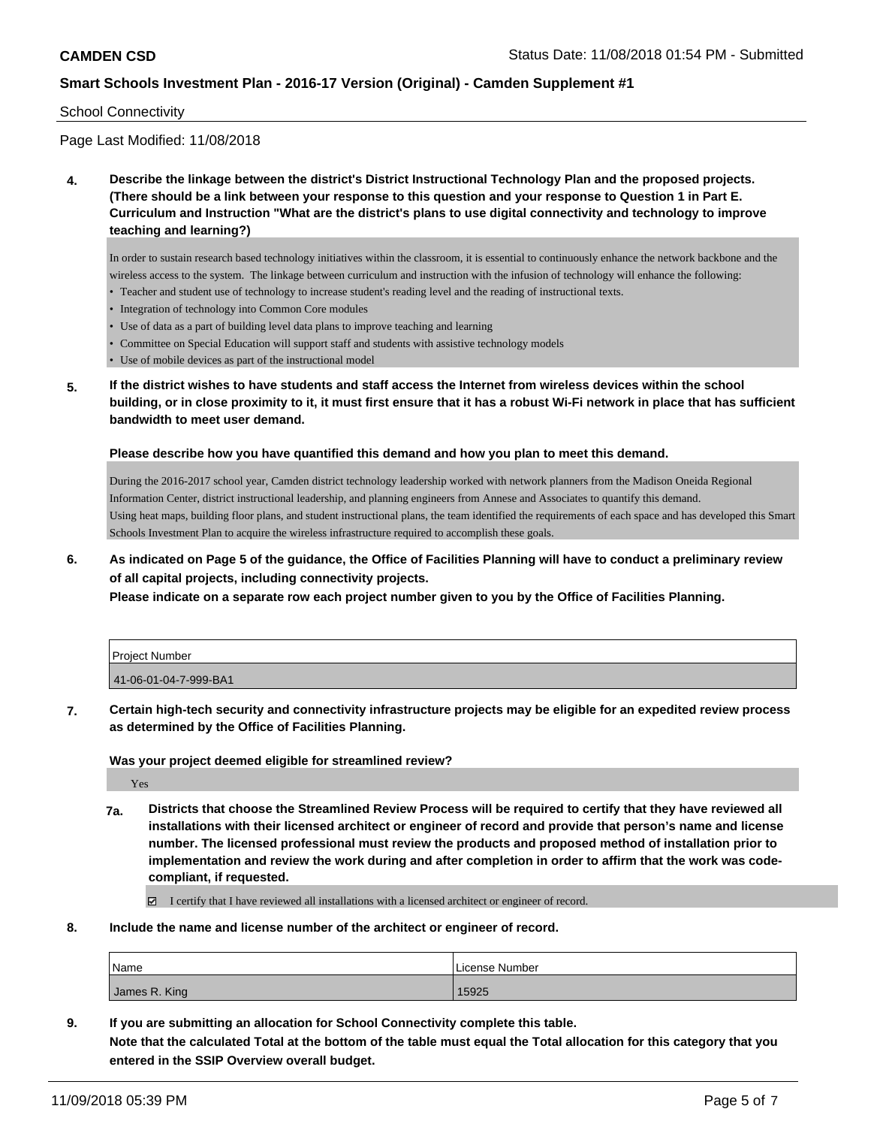#### School Connectivity

Page Last Modified: 11/08/2018

**4. Describe the linkage between the district's District Instructional Technology Plan and the proposed projects. (There should be a link between your response to this question and your response to Question 1 in Part E. Curriculum and Instruction "What are the district's plans to use digital connectivity and technology to improve teaching and learning?)**

In order to sustain research based technology initiatives within the classroom, it is essential to continuously enhance the network backbone and the wireless access to the system. The linkage between curriculum and instruction with the infusion of technology will enhance the following:

- Teacher and student use of technology to increase student's reading level and the reading of instructional texts.
- Integration of technology into Common Core modules
- Use of data as a part of building level data plans to improve teaching and learning
- Committee on Special Education will support staff and students with assistive technology models
- Use of mobile devices as part of the instructional model
- **5. If the district wishes to have students and staff access the Internet from wireless devices within the school building, or in close proximity to it, it must first ensure that it has a robust Wi-Fi network in place that has sufficient bandwidth to meet user demand.**

#### **Please describe how you have quantified this demand and how you plan to meet this demand.**

During the 2016-2017 school year, Camden district technology leadership worked with network planners from the Madison Oneida Regional Information Center, district instructional leadership, and planning engineers from Annese and Associates to quantify this demand. Using heat maps, building floor plans, and student instructional plans, the team identified the requirements of each space and has developed this Smart Schools Investment Plan to acquire the wireless infrastructure required to accomplish these goals.

**6. As indicated on Page 5 of the guidance, the Office of Facilities Planning will have to conduct a preliminary review of all capital projects, including connectivity projects.**

**Please indicate on a separate row each project number given to you by the Office of Facilities Planning.**

| <b>Project Number</b> |  |
|-----------------------|--|
| 41-06-01-04-7-999-BA1 |  |

**7. Certain high-tech security and connectivity infrastructure projects may be eligible for an expedited review process as determined by the Office of Facilities Planning.**

**Was your project deemed eligible for streamlined review?**

Yes

**7a. Districts that choose the Streamlined Review Process will be required to certify that they have reviewed all installations with their licensed architect or engineer of record and provide that person's name and license number. The licensed professional must review the products and proposed method of installation prior to implementation and review the work during and after completion in order to affirm that the work was codecompliant, if requested.**

I certify that I have reviewed all installations with a licensed architect or engineer of record.

**8. Include the name and license number of the architect or engineer of record.**

| Name          | License Number |
|---------------|----------------|
| James R. King | 15925          |

**9. If you are submitting an allocation for School Connectivity complete this table. Note that the calculated Total at the bottom of the table must equal the Total allocation for this category that you entered in the SSIP Overview overall budget.**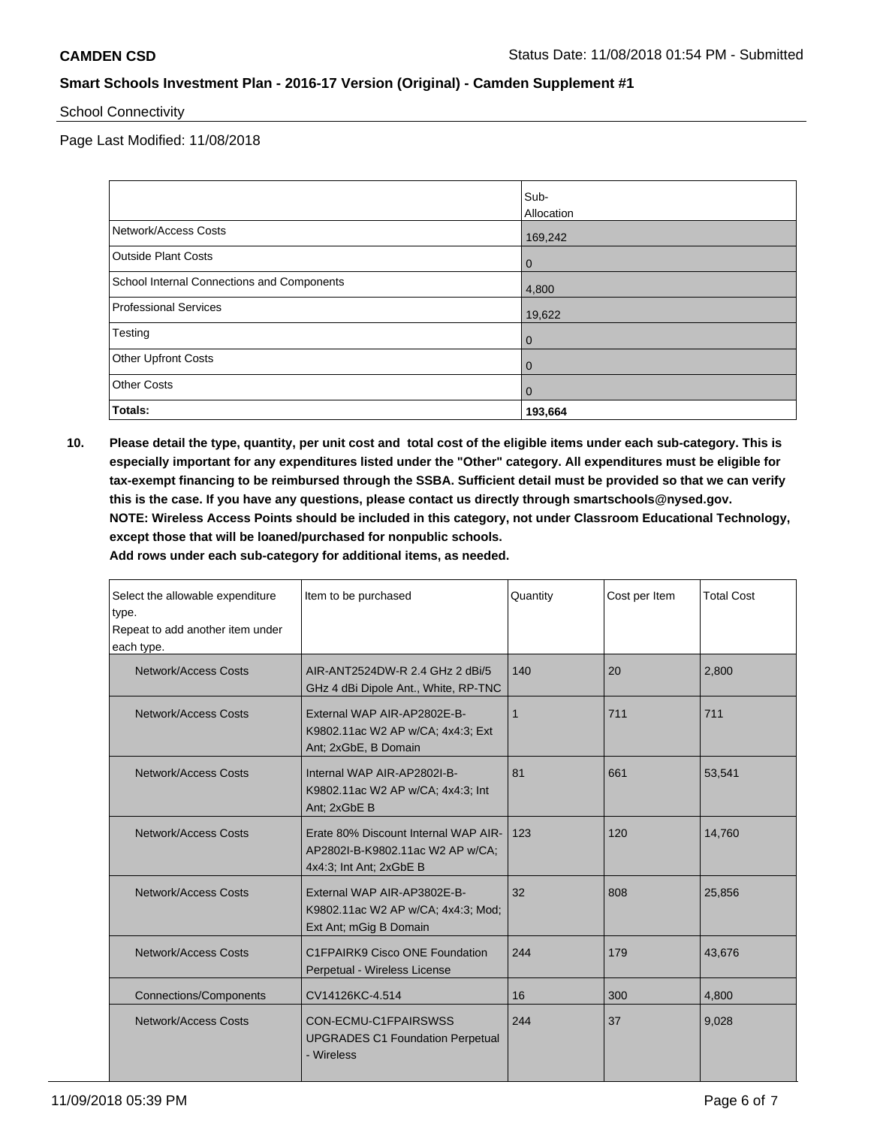School Connectivity

Page Last Modified: 11/08/2018

|                                            | Sub-           |
|--------------------------------------------|----------------|
|                                            | Allocation     |
| Network/Access Costs                       | 169,242        |
| <b>Outside Plant Costs</b>                 | $\overline{0}$ |
| School Internal Connections and Components | 4,800          |
| <b>Professional Services</b>               | 19,622         |
| Testing                                    | $\mathbf 0$    |
| <b>Other Upfront Costs</b>                 | $\mathbf 0$    |
| <b>Other Costs</b>                         | $\mathbf 0$    |
| Totals:                                    | 193,664        |

**10. Please detail the type, quantity, per unit cost and total cost of the eligible items under each sub-category. This is especially important for any expenditures listed under the "Other" category. All expenditures must be eligible for tax-exempt financing to be reimbursed through the SSBA. Sufficient detail must be provided so that we can verify this is the case. If you have any questions, please contact us directly through smartschools@nysed.gov. NOTE: Wireless Access Points should be included in this category, not under Classroom Educational Technology, except those that will be loaned/purchased for nonpublic schools.**

**Add rows under each sub-category for additional items, as needed.**

| Select the allowable expenditure<br>type.<br>Repeat to add another item under<br>each type. | Item to be purchased                                                                                | Quantity | Cost per Item | <b>Total Cost</b> |
|---------------------------------------------------------------------------------------------|-----------------------------------------------------------------------------------------------------|----------|---------------|-------------------|
| <b>Network/Access Costs</b>                                                                 | AIR-ANT2524DW-R 2.4 GHz 2 dBi/5<br>GHz 4 dBi Dipole Ant., White, RP-TNC                             | 140      | 20            | 2.800             |
| Network/Access Costs                                                                        | External WAP AIR-AP2802E-B-<br>K9802.11ac W2 AP w/CA; 4x4:3; Ext<br>Ant; 2xGbE, B Domain            | 1        | 711           | 711               |
| Network/Access Costs                                                                        | Internal WAP AIR-AP2802I-B-<br>K9802.11ac W2 AP w/CA; 4x4:3; Int<br>Ant: 2xGbE B                    | 81       | 661           | 53,541            |
| Network/Access Costs                                                                        | Erate 80% Discount Internal WAP AIR-<br>AP2802I-B-K9802.11ac W2 AP w/CA;<br>4x4:3; Int Ant; 2xGbE B | 123      | 120           | 14.760            |
| <b>Network/Access Costs</b>                                                                 | External WAP AIR-AP3802E-B-<br>K9802.11ac W2 AP w/CA; 4x4:3; Mod;<br>Ext Ant; mGig B Domain         | 32       | 808           | 25,856            |
| Network/Access Costs                                                                        | C1FPAIRK9 Cisco ONE Foundation<br>Perpetual - Wireless License                                      | 244      | 179           | 43,676            |
| <b>Connections/Components</b>                                                               | CV14126KC-4.514                                                                                     | 16       | 300           | 4,800             |
| Network/Access Costs                                                                        | CON-ECMU-C1FPAIRSWSS<br><b>UPGRADES C1 Foundation Perpetual</b><br>- Wireless                       | 244      | 37            | 9,028             |